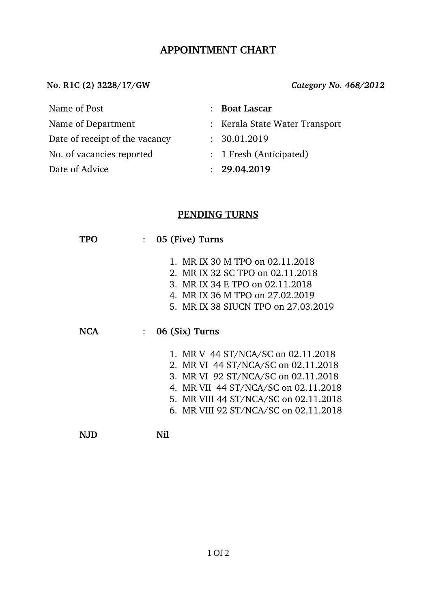#### **APPOINTMENT CHART**

**No. R1C (2) 3228/17/GW** *Category No. 468/2012*

Name of Post : **Boat Lascar**

- 
- Date of receipt of the vacancy : 30.01.2019
- No. of vacancies reported : 1 Fresh (Anticipated)

Date of Advice : **29.04.2019** 

- 
- 
- Name of Department : Kerala State Water Transport
	-
	-
	-

## **PENDING TURNS**

| TPO        |                | 05 (Five) Turns                       |  |  |  |
|------------|----------------|---------------------------------------|--|--|--|
|            |                | 1. MR IX 30 M TPO on 02.11.2018       |  |  |  |
|            |                |                                       |  |  |  |
|            |                | 2. MR IX 32 SC TPO on 02.11.2018      |  |  |  |
|            |                | 3. MR IX 34 E TPO on 02.11.2018       |  |  |  |
|            |                | 4. MR IX 36 M TPO on 27.02.2019       |  |  |  |
|            |                | 5. MR IX 38 SIUCN TPO on 27.03.2019   |  |  |  |
|            |                |                                       |  |  |  |
| <b>NCA</b> | 06 (Six) Turns |                                       |  |  |  |
|            |                | 1. MR V 44 ST/NCA/SC on 02.11.2018    |  |  |  |
|            |                | 2. MR VI 44 ST/NCA/SC on 02.11.2018   |  |  |  |
|            |                | 3. MR VI 92 ST/NCA/SC on 02.11.2018   |  |  |  |
|            |                | 4. MR VII 44 ST/NCA/SC on 02.11.2018  |  |  |  |
|            |                | 5. MR VIII 44 ST/NCA/SC on 02.11.2018 |  |  |  |
|            |                | 6. MR VIII 92 ST/NCA/SC on 02.11.2018 |  |  |  |
|            |                |                                       |  |  |  |
|            |                | Nil                                   |  |  |  |